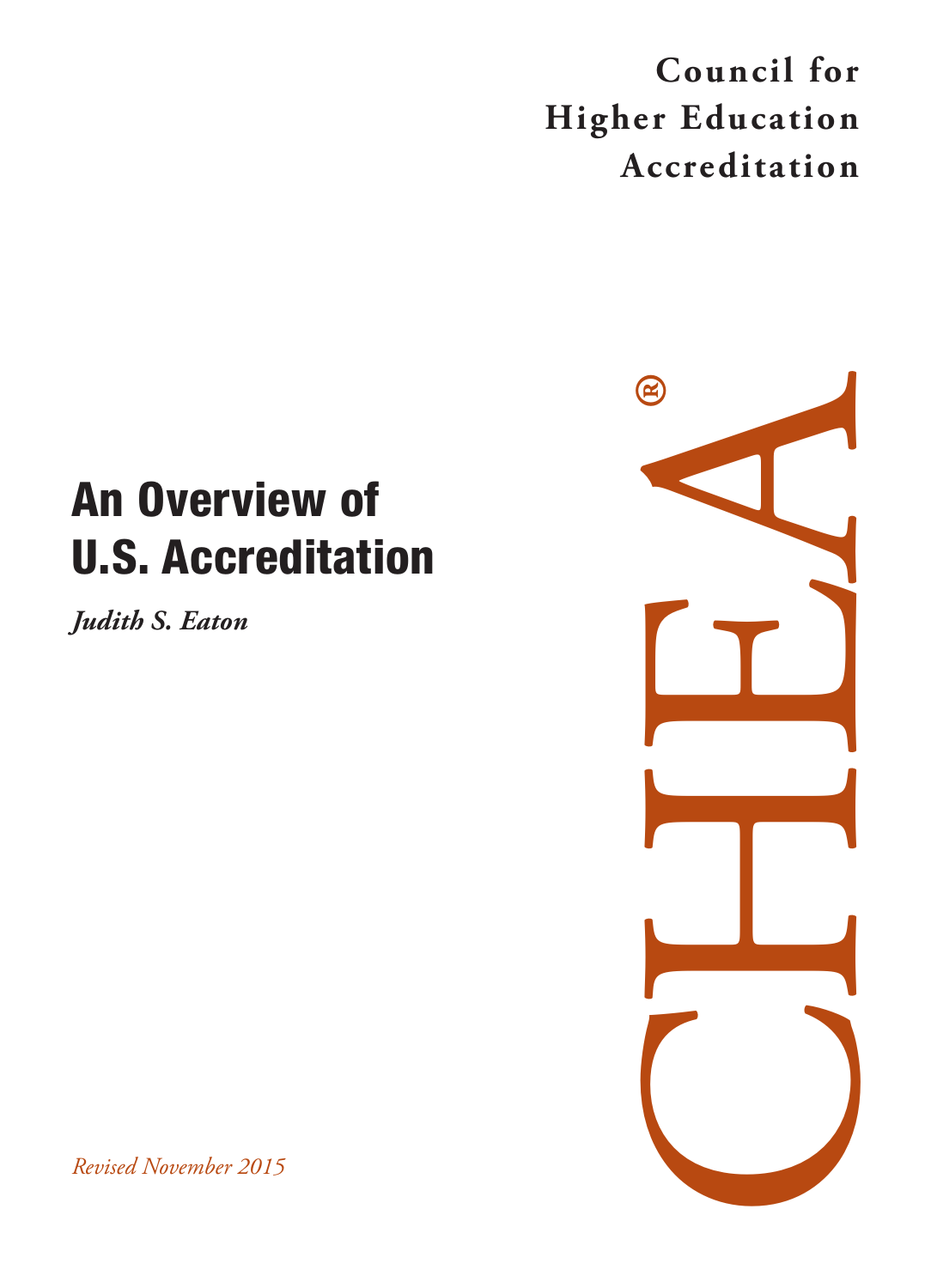**Council for Higher Education Accreditation**

# An Overview of U.S. Accreditation

*Judith S. Eaton*



*Revised November 2015*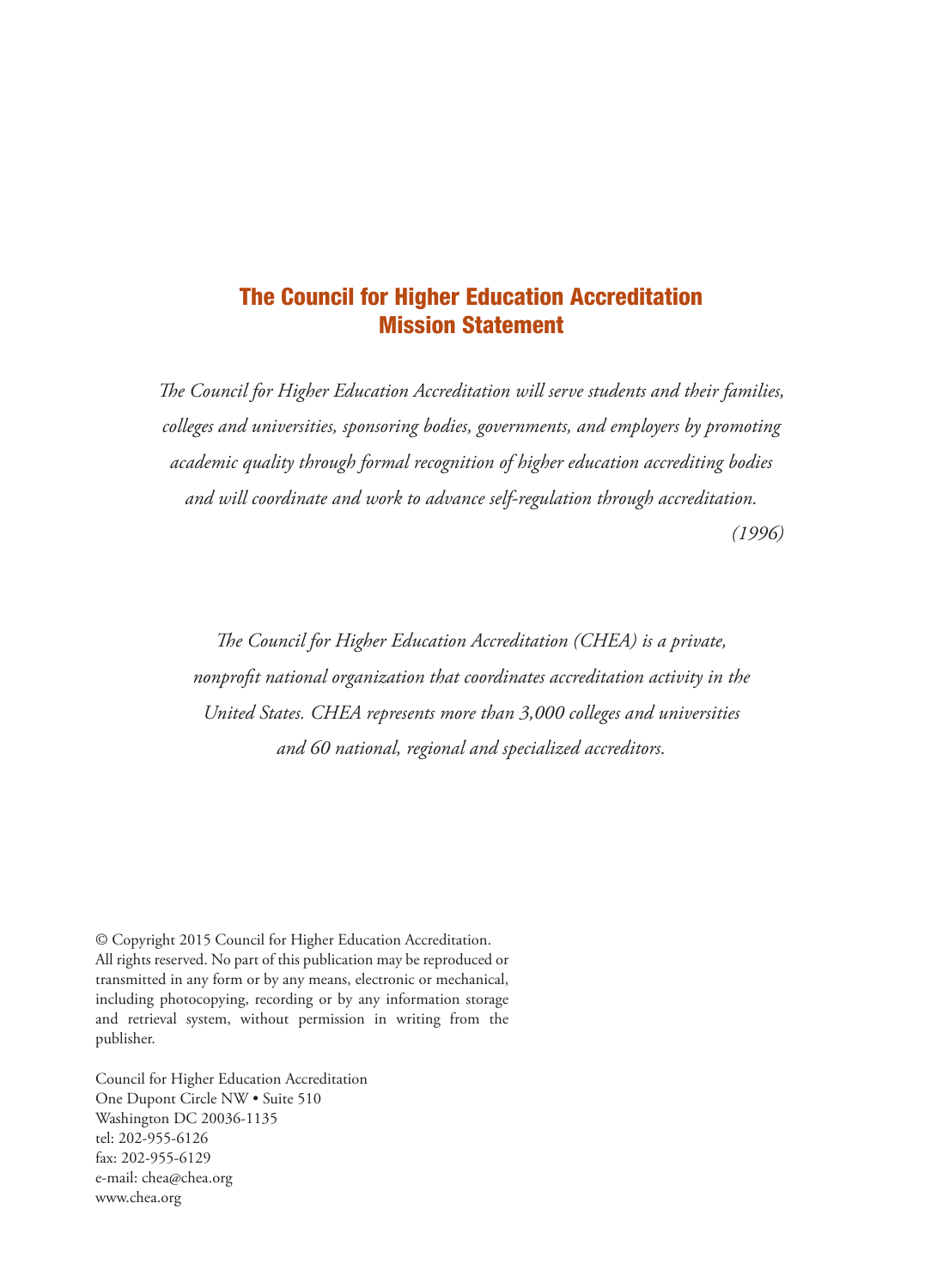#### The Council for Higher Education Accreditation Mission Statement

*The Council for Higher Education Accreditation will serve students and their families, colleges and universities, sponsoring bodies, governments, and employers by promoting academic quality through formal recognition of higher education accrediting bodies and will coordinate and work to advance self-regulation through accreditation.*

 *(1996)*

*The Council for Higher Education Accreditation (CHEA) is a private, nonprofit national organization that coordinates accreditation activity in the United States. CHEA represents more than 3,000 colleges and universities and 60 national, regional and specialized accreditors.*

© Copyright 2015 Council for Higher Education Accreditation. All rights reserved. No part of this publication may be reproduced or transmitted in any form or by any means, electronic or mechanical, including photocopying, recording or by any information storage and retrieval system, without permission in writing from the publisher.

*2* Council for Higher Education Accreditation Council for Higher Education Accreditation One Dupont Circle NW • Suite 510 Washington DC 20036-1135 tel: 202-955-6126 fax: 202-955-6129 e-mail: chea@chea.org www.chea.org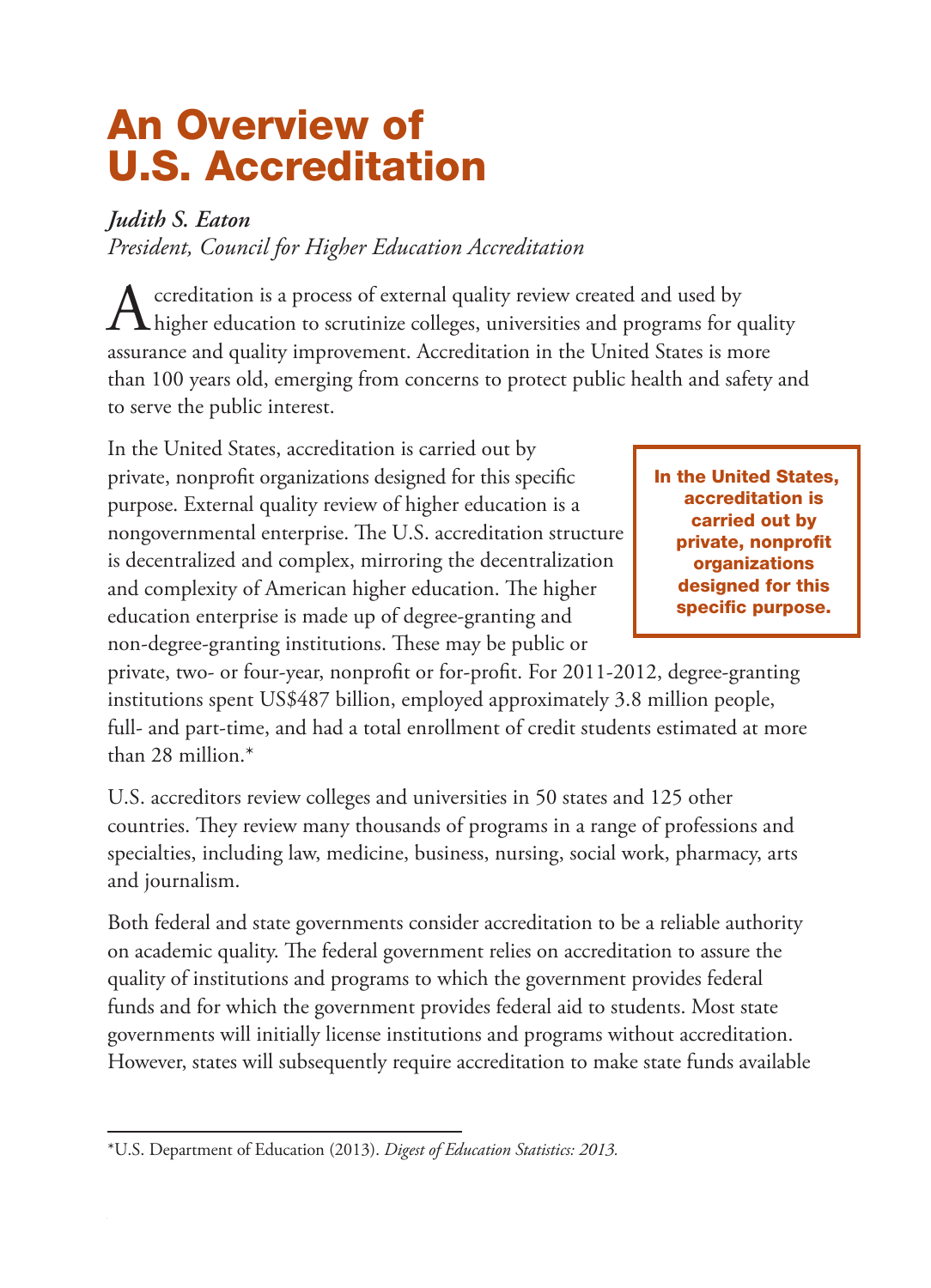# An Overview of U.S. Accreditation

#### *Judith S. Eaton*

*President, Council for Higher Education Accreditation*

ccreditation is a process of external quality review created and used by higher education to scrutinize colleges, universities and programs for quality A ccreditation is a process of external quality review created and used by<br>A higher education to scrutinize colleges, universities and programs for quali<br>assurance and quality improvement. Accreditation in the United State than 100 years old, emerging from concerns to protect public health and safety and to serve the public interest.

In the United States, accreditation is carried out by private, nonprofit organizations designed for this specific purpose. External quality review of higher education is a nongovernmental enterprise. The U.S. accreditation structure is decentralized and complex, mirroring the decentralization and complexity of American higher education. The higher education enterprise is made up of degree-granting and non-degree-granting institutions. These may be public or

In the United States, accreditation is carried out by private, nonprofit organizations designed for this specific purpose.

private, two- or four-year, nonprofit or for-profit. For 2011-2012, degree-granting institutions spent US\$487 billion, employed approximately 3.8 million people, full- and part-time, and had a total enrollment of credit students estimated at more than 28 million.\*

U.S. accreditors review colleges and universities in 50 states and 125 other countries. They review many thousands of programs in a range of professions and specialties, including law, medicine, business, nursing, social work, pharmacy, arts and journalism.

Both federal and state governments consider accreditation to be a reliable authority on academic quality. The federal government relies on accreditation to assure the quality of institutions and programs to which the government provides federal funds and for which the government provides federal aid to students. Most state governments will initially license institutions and programs without accreditation. However, states will subsequently require accreditation to make state funds available

<sup>\*</sup>U.S. Department of Education (2013). *Digest of Education Statistics: 2013.*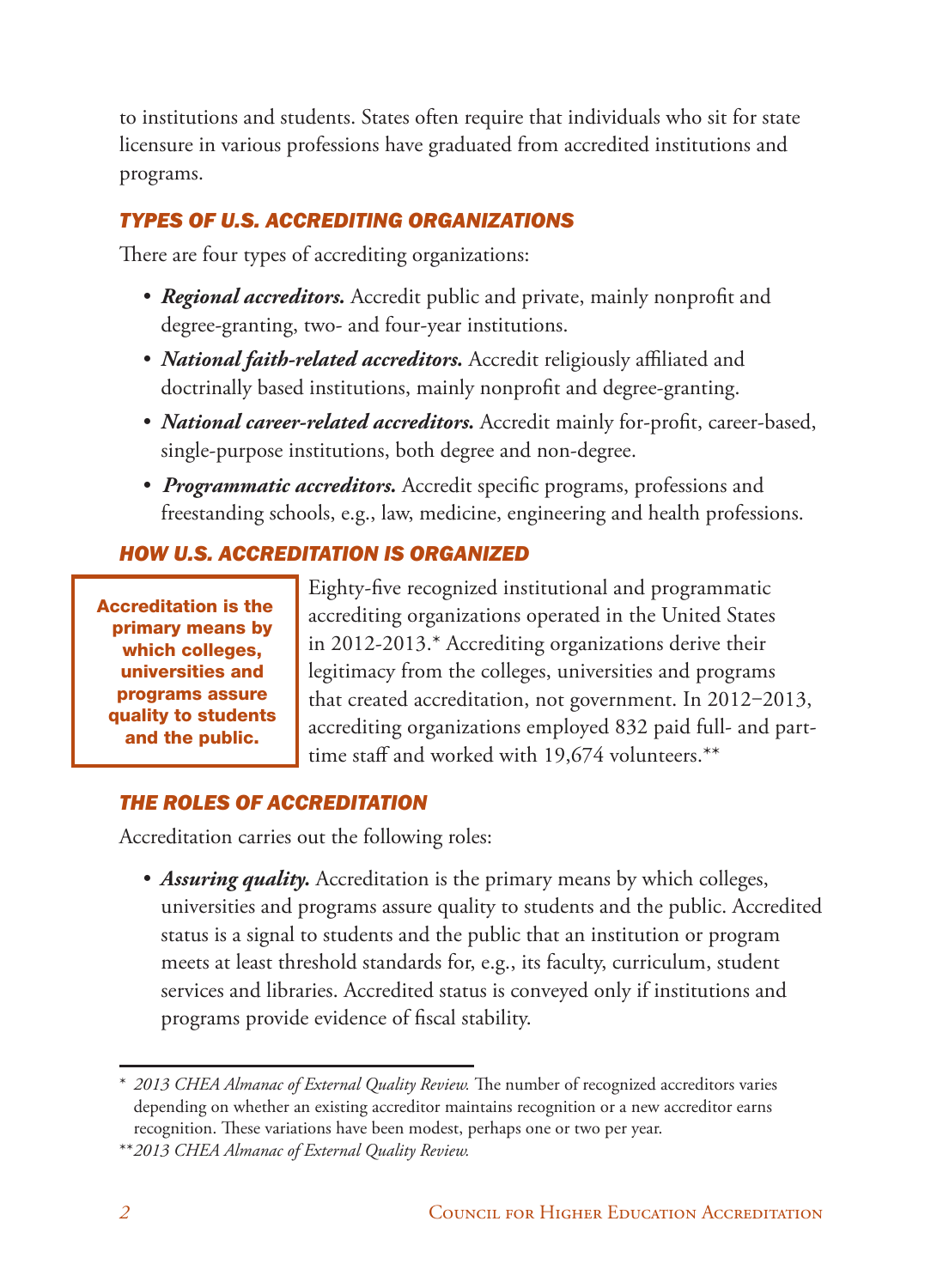to institutions and students. States often require that individuals who sit for state licensure in various professions have graduated from accredited institutions and programs.

# *TYPES OF U.S. ACCREDITING ORGANIZATIONS*

There are four types of accrediting organizations:

- *Regional accreditors.* Accredit public and private, mainly nonprofit and degree-granting, two- and four-year institutions.
- *National faith-related accreditors.* Accredit religiously affiliated and doctrinally based institutions, mainly nonprofit and degree-granting.
- *National career-related accreditors.* Accredit mainly for-profit, career-based, single-purpose institutions, both degree and non-degree.
- *Programmatic accreditors.* Accredit specific programs, professions and freestanding schools, e.g., law, medicine, engineering and health professions.

# *HOW U.S. ACCREDITATION IS ORGANIZED*

Accreditation is the primary means by which colleges, universities and programs assure quality to students and the public.

Eighty-five recognized institutional and programmatic accrediting organizations operated in the United States in 2012-2013.\* Accrediting organizations derive their legitimacy from the colleges, universities and programs that created accreditation, not government. In 2012-2013, accrediting organizations employed 832 paid full- and parttime staff and worked with 19,674 volunteers.\*\*

# *THE ROLES OF ACCREDITATION*

Accreditation carries out the following roles:

• *Assuring quality*. Accreditation is the primary means by which colleges, universities and programs assure quality to students and the public. Accredited status is a signal to students and the public that an institution or program meets at least threshold standards for, e.g., its faculty, curriculum, student services and libraries. Accredited status is conveyed only if institutions and programs provide evidence of fiscal stability.

<sup>\*</sup> *2013 CHEA Almanac of External Quality Review.* The number of recognized accreditors varies depending on whether an existing accreditor maintains recognition or a new accreditor earns recognition. These variations have been modest, perhaps one or two per year.

<sup>\*\*</sup>*2013 CHEA Almanac of External Quality Review.*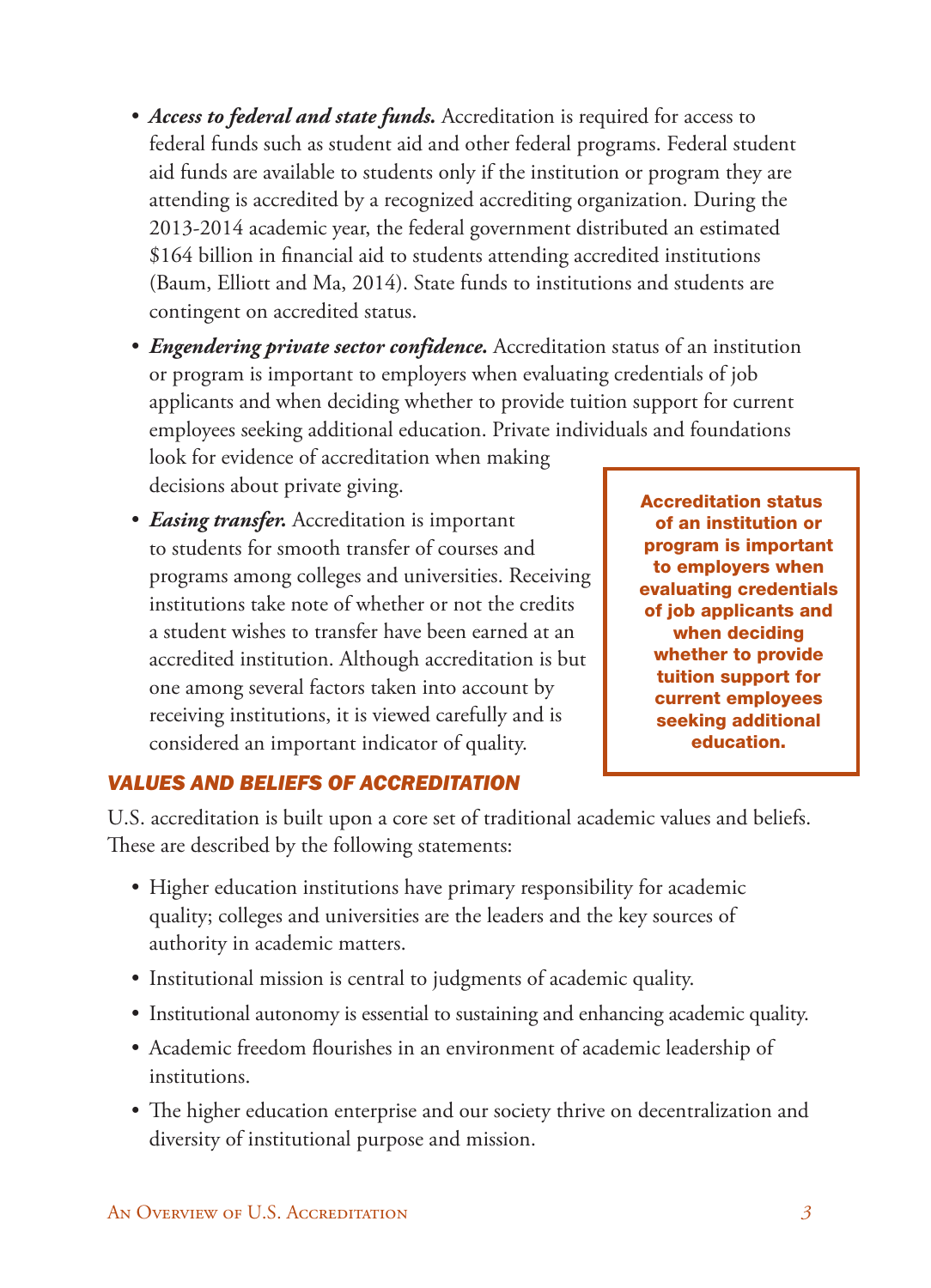- *Access to federal and state funds*. Accreditation is required for access to federal funds such as student aid and other federal programs. Federal student aid funds are available to students only if the institution or program they are attending is accredited by a recognized accrediting organization. During the 2013-2014 academic year, the federal government distributed an estimated \$164 billion in financial aid to students attending accredited institutions (Baum, Elliott and Ma, 2014). State funds to institutions and students are contingent on accredited status.
- *Engendering private sector confidence.* Accreditation status of an institution or program is important to employers when evaluating credentials of job applicants and when deciding whether to provide tuition support for current employees seeking additional education. Private individuals and foundations

look for evidence of accreditation when making decisions about private giving.

• *Easing transfer.* Accreditation is important to students for smooth transfer of courses and programs among colleges and universities. Receiving institutions take note of whether or not the credits a student wishes to transfer have been earned at an accredited institution. Although accreditation is but one among several factors taken into account by receiving institutions, it is viewed carefully and is considered an important indicator of quality.

Accreditation status of an institution or program is important to employers when evaluating credentials of job applicants and when deciding whether to provide tuition support for current employees seeking additional education.

#### *VALUES AND BELIEFS OF ACCREDITATION*

U.S. accreditation is built upon a core set of traditional academic values and beliefs. These are described by the following statements:

- Higher education institutions have primary responsibility for academic quality; colleges and universities are the leaders and the key sources of authority in academic matters.
- Institutional mission is central to judgments of academic quality.
- Institutional autonomy is essential to sustaining and enhancing academic quality.
- Academic freedom flourishes in an environment of academic leadership of institutions.
- The higher education enterprise and our society thrive on decentralization and diversity of institutional purpose and mission.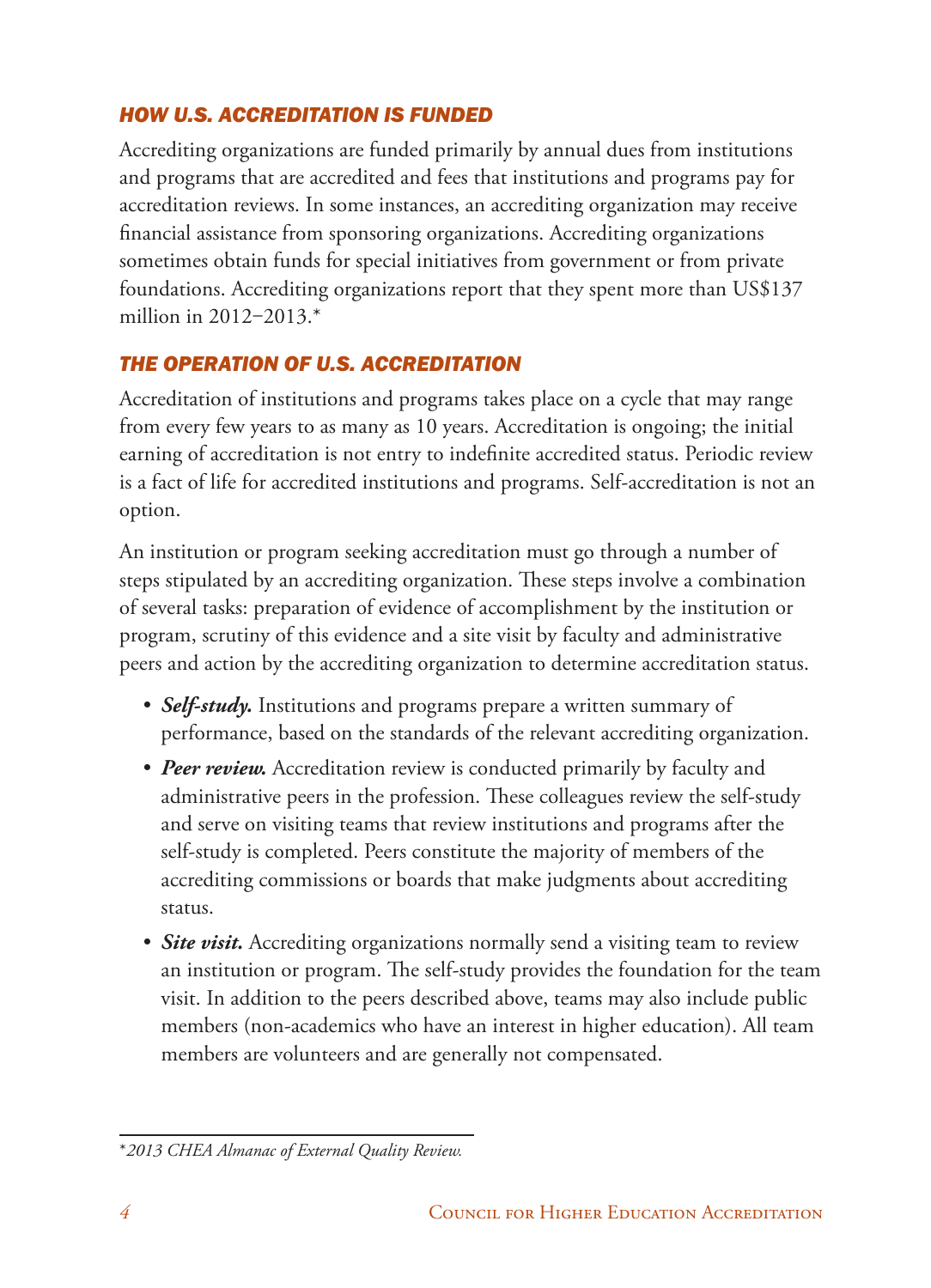# *HOW U.S. ACCREDITATION IS FUNDED*

Accrediting organizations are funded primarily by annual dues from institutions and programs that are accredited and fees that institutions and programs pay for accreditation reviews. In some instances, an accrediting organization may receive financial assistance from sponsoring organizations. Accrediting organizations sometimes obtain funds for special initiatives from government or from private foundations. Accrediting organizations report that they spent more than US\$137 million in 2012-2013.\*

#### *THE OPERATION OF U.S. ACCREDITATION*

Accreditation of institutions and programs takes place on a cycle that may range from every few years to as many as 10 years. Accreditation is ongoing; the initial earning of accreditation is not entry to indefinite accredited status. Periodic review is a fact of life for accredited institutions and programs. Self-accreditation is not an option.

An institution or program seeking accreditation must go through a number of steps stipulated by an accrediting organization. These steps involve a combination of several tasks: preparation of evidence of accomplishment by the institution or program, scrutiny of this evidence and a site visit by faculty and administrative peers and action by the accrediting organization to determine accreditation status.

- *Self-study*. Institutions and programs prepare a written summary of performance, based on the standards of the relevant accrediting organization.
- *Peer review*. Accreditation review is conducted primarily by faculty and administrative peers in the profession. These colleagues review the self-study and serve on visiting teams that review institutions and programs after the self-study is completed. Peers constitute the majority of members of the accrediting commissions or boards that make judgments about accrediting status.
- *Site visit*. Accrediting organizations normally send a visiting team to review an institution or program. The self-study provides the foundation for the team visit. In addition to the peers described above, teams may also include public members (non-academics who have an interest in higher education). All team members are volunteers and are generally not compensated.

<sup>\*</sup>*2013 CHEA Almanac of External Quality Review.*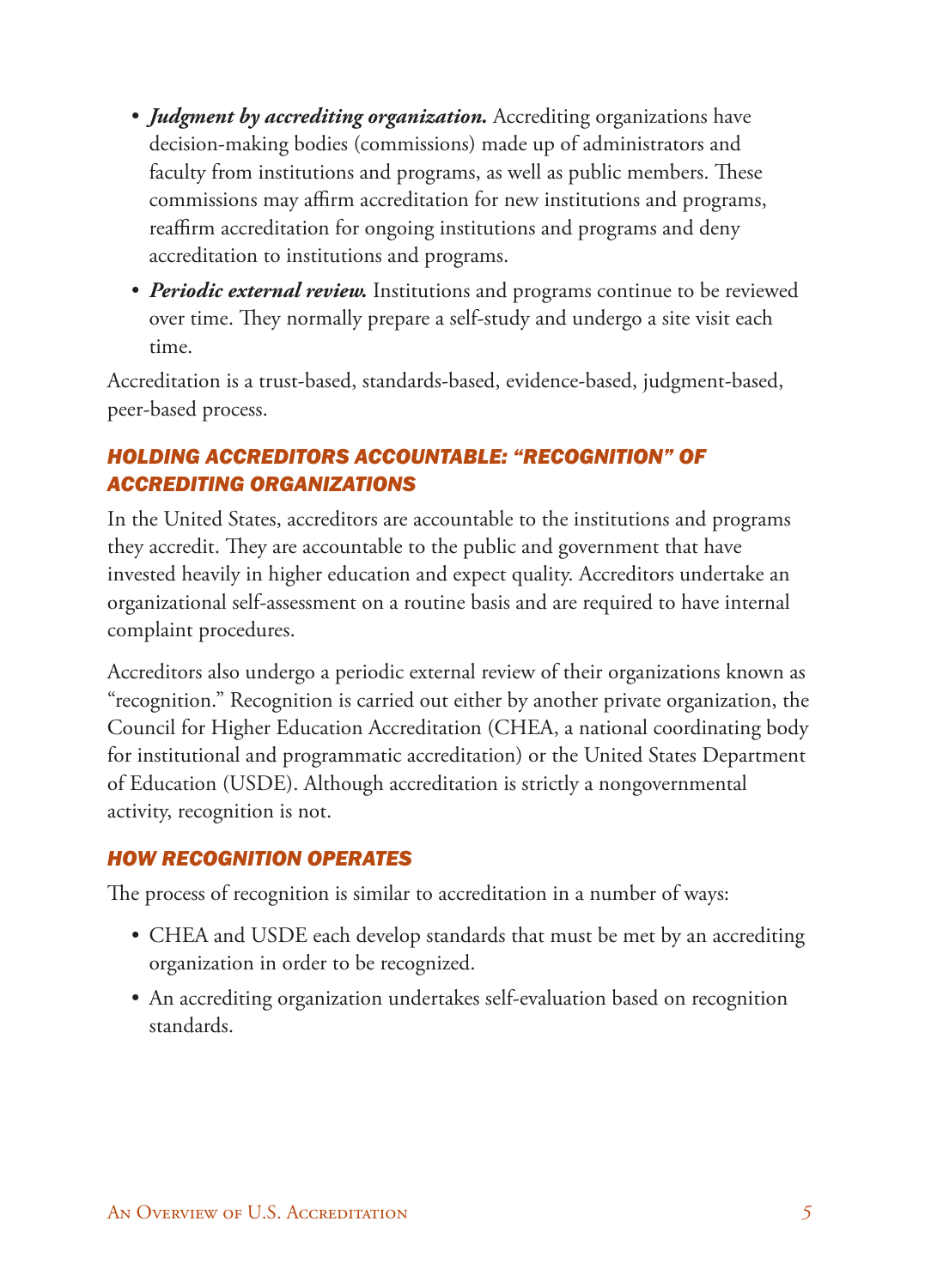- *Judgment by accrediting organization.* Accrediting organizations have decision-making bodies (commissions) made up of administrators and faculty from institutions and programs, as well as public members. These commissions may affirm accreditation for new institutions and programs, reaffirm accreditation for ongoing institutions and programs and deny accreditation to institutions and programs.
- *Periodic external review.* Institutions and programs continue to be reviewed over time. They normally prepare a self-study and undergo a site visit each time.

Accreditation is a trust-based, standards-based, evidence-based, judgment-based, peer-based process.

# *HOLDING ACCREDITORS ACCOUNTABLE: "RECOGNITION" OF ACCREDITING ORGANIZATIONS*

In the United States, accreditors are accountable to the institutions and programs they accredit. They are accountable to the public and government that have invested heavily in higher education and expect quality. Accreditors undertake an organizational self-assessment on a routine basis and are required to have internal complaint procedures.

Accreditors also undergo a periodic external review of their organizations known as "recognition." Recognition is carried out either by another private organization, the Council for Higher Education Accreditation (CHEA, a national coordinating body for institutional and programmatic accreditation) or the United States Department of Education (USDE). Although accreditation is strictly a nongovernmental activity, recognition is not.

#### *HOW RECOGNITION OPERATES*

The process of recognition is similar to accreditation in a number of ways:

- CHEA and USDE each develop standards that must be met by an accrediting organization in order to be recognized.
- An accrediting organization undertakes self-evaluation based on recognition standards.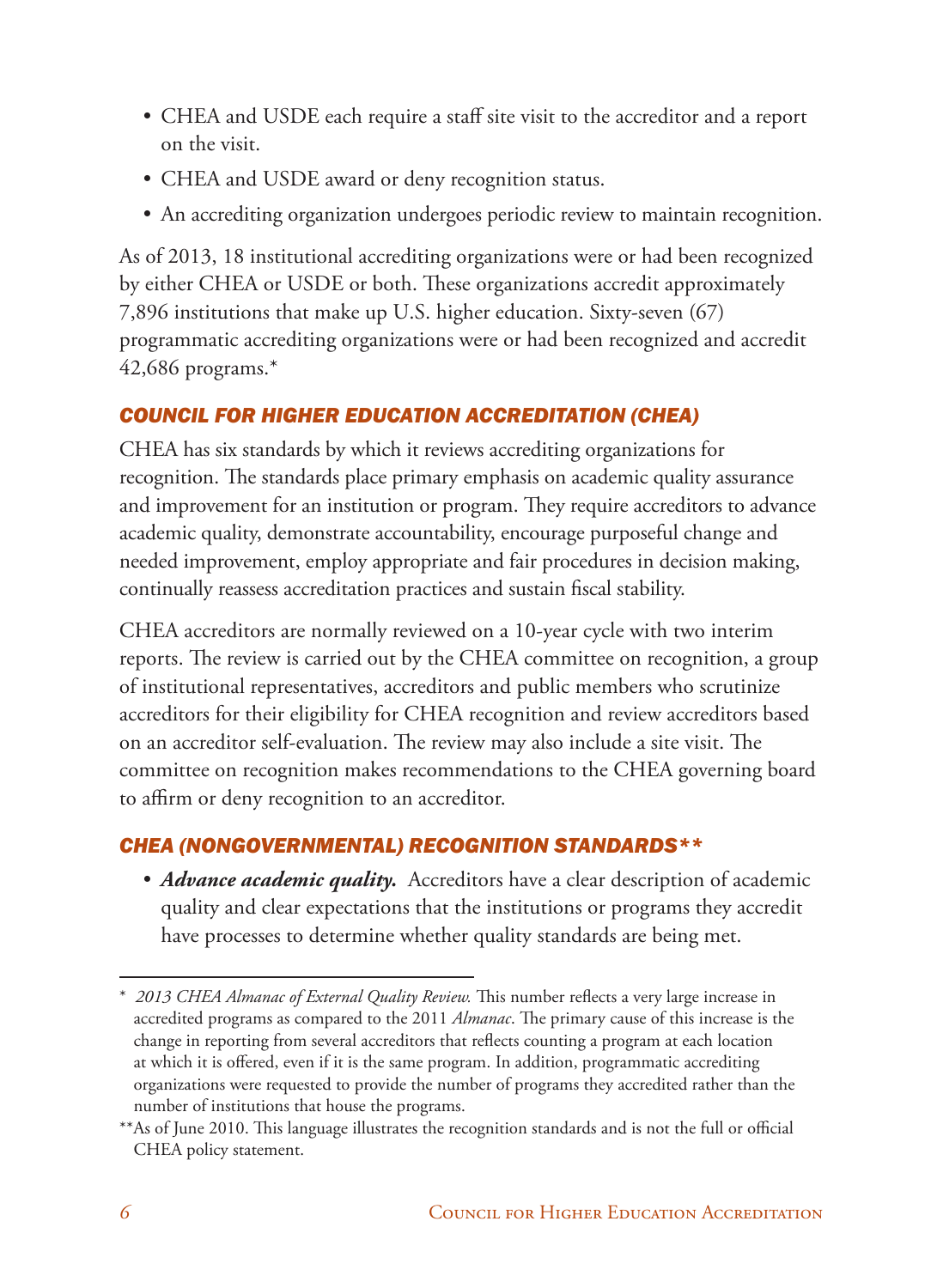- CHEA and USDE each require a staff site visit to the accreditor and a report on the visit.
- CHEA and USDE award or deny recognition status.
- An accrediting organization undergoes periodic review to maintain recognition.

As of 2013, 18 institutional accrediting organizations were or had been recognized by either CHEA or USDE or both. These organizations accredit approximately 7,896 institutions that make up U.S. higher education. Sixty-seven (67) programmatic accrediting organizations were or had been recognized and accredit 42,686 programs.\*

# *COUNCIL FOR HIGHER EDUCATION ACCREDITATION (CHEA)*

CHEA has six standards by which it reviews accrediting organizations for recognition. The standards place primary emphasis on academic quality assurance and improvement for an institution or program. They require accreditors to advance academic quality, demonstrate accountability, encourage purposeful change and needed improvement, employ appropriate and fair procedures in decision making, continually reassess accreditation practices and sustain fiscal stability.

CHEA accreditors are normally reviewed on a 10-year cycle with two interim reports. The review is carried out by the CHEA committee on recognition, a group of institutional representatives, accreditors and public members who scrutinize accreditors for their eligibility for CHEA recognition and review accreditors based on an accreditor self-evaluation. The review may also include a site visit. The committee on recognition makes recommendations to the CHEA governing board to affirm or deny recognition to an accreditor.

# *CHEA (NONGOVERNMENTAL) RECOGNITION STANDARDS\*\**

• *Advance academic quality*. Accreditors have a clear description of academic quality and clear expectations that the institutions or programs they accredit have processes to determine whether quality standards are being met.

<sup>\*</sup> *2013 CHEA Almanac of External Quality Review.* This number reflects a very large increase in accredited programs as compared to the 2011 *Almanac*. The primary cause of this increase is the change in reporting from several accreditors that reflects counting a program at each location at which it is offered, even if it is the same program. In addition, programmatic accrediting organizations were requested to provide the number of programs they accredited rather than the number of institutions that house the programs.

<sup>\*\*</sup>As of June 2010. This language illustrates the recognition standards and is not the full or official CHEA policy statement.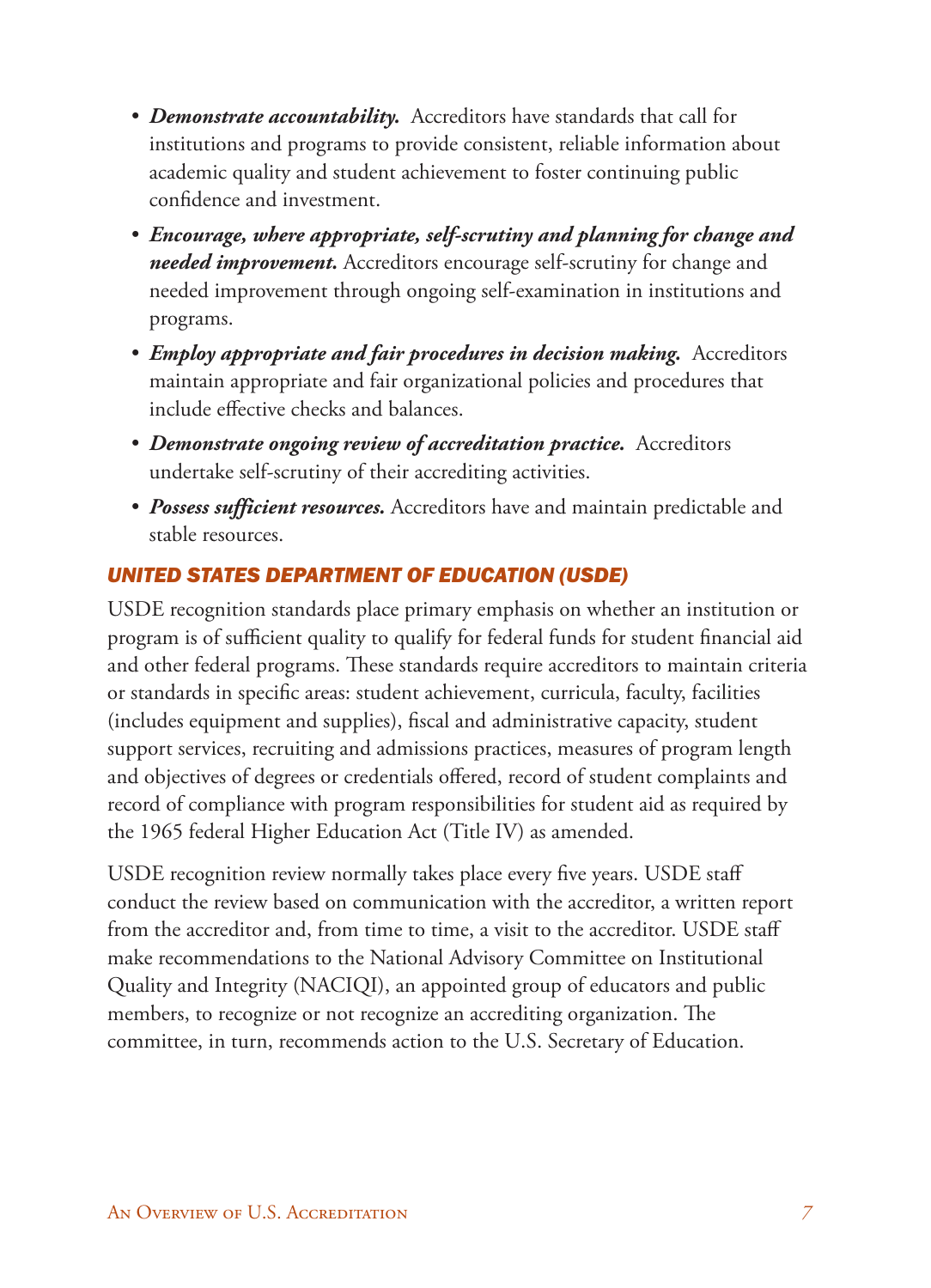- *Demonstrate accountability.* Accreditors have standards that call for institutions and programs to provide consistent, reliable information about academic quality and student achievement to foster continuing public confidence and investment.
- *Encourage, where appropriate, self-scrutiny and planning for change and needed improvement.* Accreditors encourage self-scrutiny for change and needed improvement through ongoing self-examination in institutions and programs.
- *Employ appropriate and fair procedures in decision making.* Accreditors maintain appropriate and fair organizational policies and procedures that include effective checks and balances.
- *Demonstrate ongoing review of accreditation practice.* Accreditors undertake self-scrutiny of their accrediting activities.
- *Possess sufficient resources.* Accreditors have and maintain predictable and stable resources.

#### *UNITED STATES DEPARTMENT OF EDUCATION (USDE)*

USDE recognition standards place primary emphasis on whether an institution or program is of sufficient quality to qualify for federal funds for student financial aid and other federal programs. These standards require accreditors to maintain criteria or standards in specific areas: student achievement, curricula, faculty, facilities (includes equipment and supplies), fiscal and administrative capacity, student support services, recruiting and admissions practices, measures of program length and objectives of degrees or credentials offered, record of student complaints and record of compliance with program responsibilities for student aid as required by the 1965 federal Higher Education Act (Title IV) as amended.

USDE recognition review normally takes place every five years. USDE staff conduct the review based on communication with the accreditor, a written report from the accreditor and, from time to time, a visit to the accreditor. USDE staff make recommendations to the National Advisory Committee on Institutional Quality and Integrity (NACIQI), an appointed group of educators and public members, to recognize or not recognize an accrediting organization. The committee, in turn, recommends action to the U.S. Secretary of Education.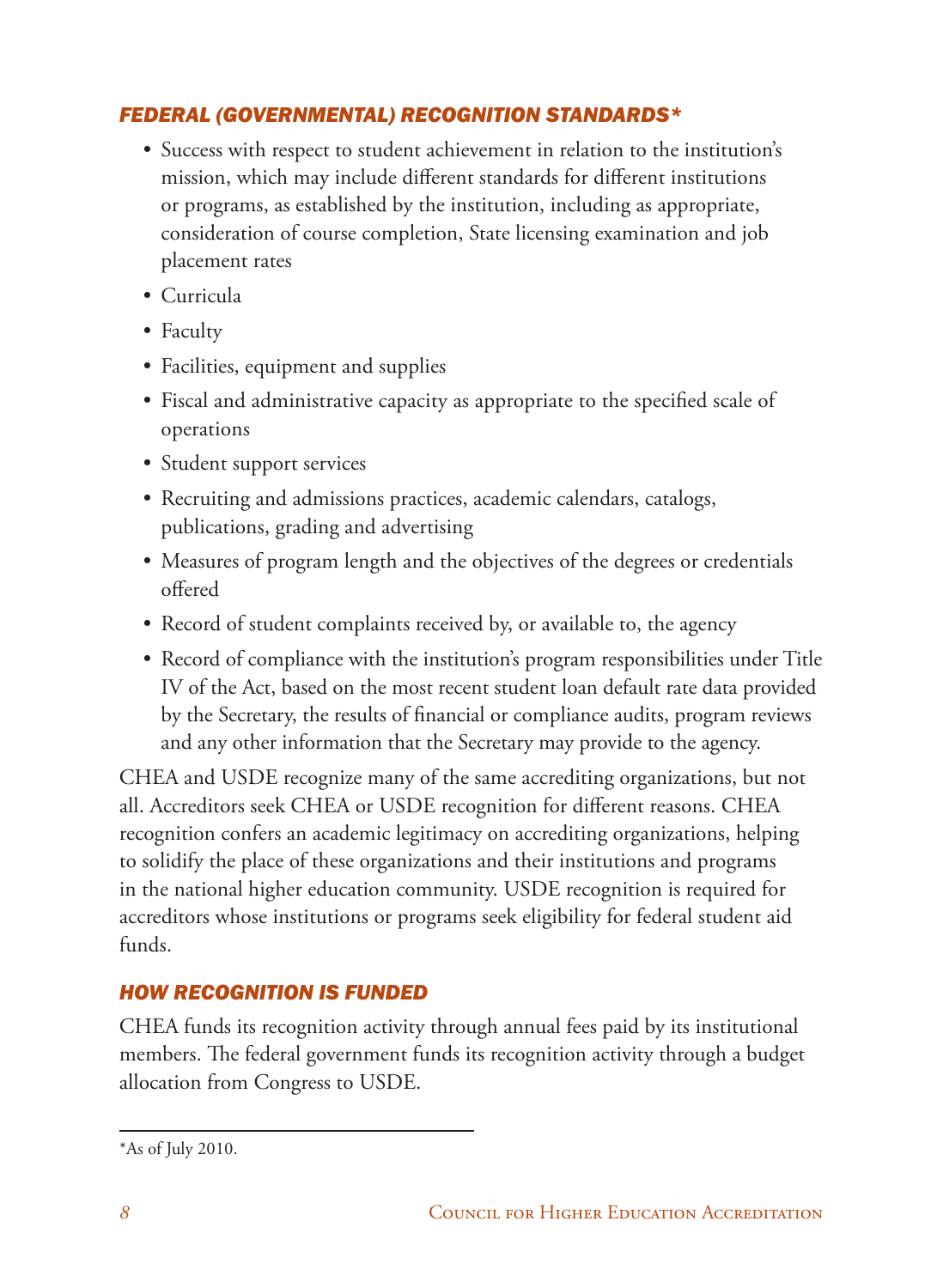# *FEDERAL (GOVERNMENTAL) RECOGNITION STANDARDS\**

- Success with respect to student achievement in relation to the institution's mission, which may include different standards for different institutions or programs, as established by the institution, including as appropriate, consideration of course completion, State licensing examination and job placement rates
- Curricula
- Faculty
- Facilities, equipment and supplies
- Fiscal and administrative capacity as appropriate to the specified scale of operations
- Student support services
- Recruiting and admissions practices, academic calendars, catalogs, publications, grading and advertising
- Measures of program length and the objectives of the degrees or credentials offered
- Record of student complaints received by, or available to, the agency
- Record of compliance with the institution's program responsibilities under Title IV of the Act, based on the most recent student loan default rate data provided by the Secretary, the results of financial or compliance audits, program reviews and any other information that the Secretary may provide to the agency.

CHEA and USDE recognize many of the same accrediting organizations, but not all. Accreditors seek CHEA or USDE recognition for different reasons. CHEA recognition confers an academic legitimacy on accrediting organizations, helping to solidify the place of these organizations and their institutions and programs in the national higher education community. USDE recognition is required for accreditors whose institutions or programs seek eligibility for federal student aid funds.

# *HOW RECOGNITION IS FUNDED*

CHEA funds its recognition activity through annual fees paid by its institutional members. The federal government funds its recognition activity through a budget allocation from Congress to USDE.

<sup>\*</sup>As of July 2010.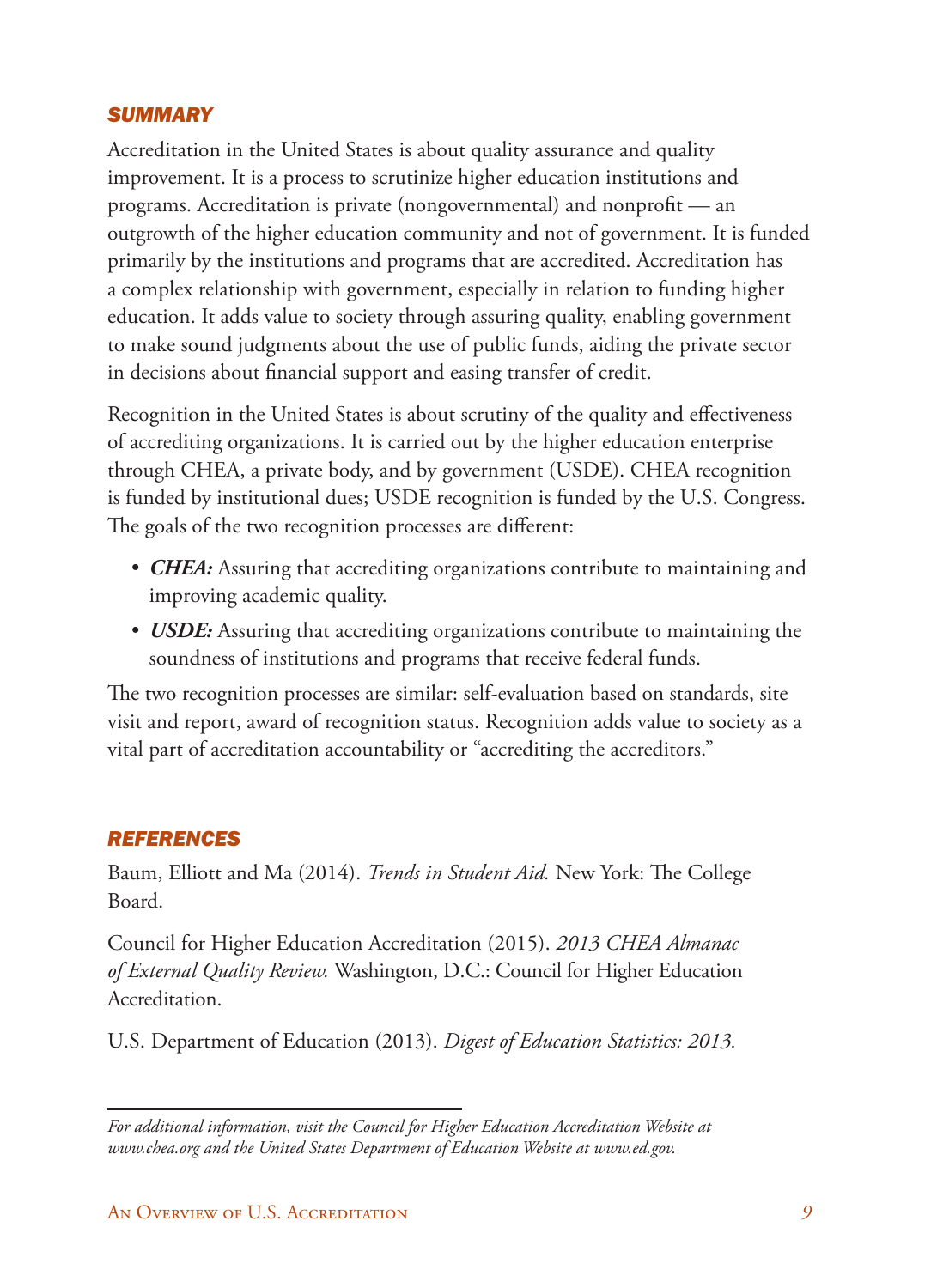#### *SUMMARY*

Accreditation in the United States is about quality assurance and quality improvement. It is a process to scrutinize higher education institutions and programs. Accreditation is private (nongovernmental) and nonprofit — an outgrowth of the higher education community and not of government. It is funded primarily by the institutions and programs that are accredited. Accreditation has a complex relationship with government, especially in relation to funding higher education. It adds value to society through assuring quality, enabling government to make sound judgments about the use of public funds, aiding the private sector in decisions about financial support and easing transfer of credit.

Recognition in the United States is about scrutiny of the quality and effectiveness of accrediting organizations. It is carried out by the higher education enterprise through CHEA, a private body, and by government (USDE). CHEA recognition is funded by institutional dues; USDE recognition is funded by the U.S. Congress. The goals of the two recognition processes are different:

- *CHEA:* Assuring that accrediting organizations contribute to maintaining and improving academic quality.
- *USDE:* Assuring that accrediting organizations contribute to maintaining the soundness of institutions and programs that receive federal funds.

The two recognition processes are similar: self-evaluation based on standards, site visit and report, award of recognition status. Recognition adds value to society as a vital part of accreditation accountability or "accrediting the accreditors."

#### *REFERENCES*

Baum, Elliott and Ma (2014). *Trends in Student Aid.* New York: The College Board.

Council for Higher Education Accreditation (2015). *2013 CHEA Almanac of External Quality Review.* Washington, D.C.: Council for Higher Education Accreditation.

U.S. Department of Education (2013). *Digest of Education Statistics: 2013.*

*For additional information, visit the Council for Higher Education Accreditation Website at www.chea.org and the United States Department of Education Website at www.ed.gov.*